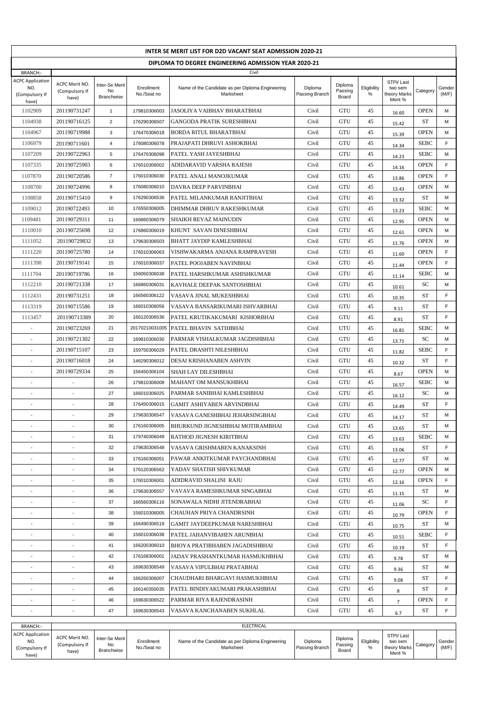| INTER SE MERIT LIST FOR D2D VACANT SEAT ADMISSION 2020-21 |                                           |                                    |                              |                                                               |                           |                             |                  |                                                 |                   |                 |  |
|-----------------------------------------------------------|-------------------------------------------|------------------------------------|------------------------------|---------------------------------------------------------------|---------------------------|-----------------------------|------------------|-------------------------------------------------|-------------------|-----------------|--|
| DIPLOMA TO DEGREE ENGINEERING ADMISSION YEAR 2020-21      |                                           |                                    |                              |                                                               |                           |                             |                  |                                                 |                   |                 |  |
| <b>BRANCH:-</b>                                           |                                           |                                    |                              | Civil                                                         |                           |                             |                  |                                                 |                   |                 |  |
| <b>ACPC Application</b><br>NO.<br>(Compulsory If<br>have) | ACPC Merit NO.<br>(Compulsory If<br>have) | Inter-Se Merit<br>No<br>Branchwise | Enrollment<br>No./Seat no    | Name of the Candidate as per Diploma Engineering<br>Marksheet | Diploma<br>Passing Branch | Diploma<br>Passing<br>Board | Eligibility<br>% | STPI/Last<br>two sem<br>theory Marks<br>Merit % | Category          | Gender<br>(M/F) |  |
| 1102909                                                   | 201190731247                              | $\mathbf{1}$                       | 179810306003                 | JASOLIYA VAIBHAV BHARATBHAI                                   | Civil                     | GTU                         | 45               | 16.60                                           | <b>OPEN</b>       | М               |  |
| 1104938                                                   | 201190716125                              | $\overline{2}$                     | 176290306507                 | GANGODA PRATIK SURESHBHAI                                     | Civil                     | GTU                         | 45               | 15.42                                           | ST                | М               |  |
| 1104967                                                   | 201190719988                              | 3                                  | 176470306018                 | BORDA RITUL BHARATBHAI                                        | Civil                     | GTU                         | 45               | 15.39                                           | <b>OPEN</b>       | М               |  |
| 1106979                                                   | 201190711601                              | $\overline{4}$                     | 176080306078                 | PRAJAPATI DHRUVI ASHOKBHAI                                    | Civil                     | GTU                         | 45               | 14.34                                           | <b>SEBC</b>       | F               |  |
| 1107209                                                   | 201190722963                              | 5                                  | 176470306098                 | PATEL YASH JAYESHBHAI                                         | Civil                     | GTU                         | 45               | 14.23                                           | <b>SEBC</b>       | М               |  |
| 1107335                                                   | 201190725903                              | 6                                  | 176010306002                 | ADIDARAVID VARSHA RAJESH                                      | Civil                     | GTU                         | 45               | 14.16                                           | <b>OPEN</b>       | F               |  |
| 1107870                                                   | 201190720586                              | $\overline{7}$                     | 176010306030                 | PATEL ANALI MANOJKUMAR                                        | Civil                     | GTU                         | 45               | 13.86                                           | <b>OPEN</b>       | F               |  |
| 1108700                                                   | 201190724996                              | 8                                  | 176080306010                 | DAVRA DEEP PARVINBHAI                                         | Civil                     | GTU                         | 45               | 13.43                                           | <b>OPEN</b>       | М               |  |
| 1108858                                                   | 201190715410                              | 9                                  | 176290306536                 | PATEL MILANKUMAR RANJITBHAI                                   | Civil                     | GTU                         | 45               | 13.32                                           | ST                | М               |  |
| 1109012                                                   | 201190722493                              | 10                                 | 176550306005                 | DHIMMAR DHRUV RAKESHKUMAR                                     | Civil                     | GTU                         | 45               | 13.23                                           | <b>SEBC</b>       | м               |  |
| 1109481                                                   | 201190729311                              | 11                                 | 166860306079                 | SHAIKH REYAZ MAINUDIN                                         | Civil                     | GTU                         | 45               | 12.95                                           | <b>OPEN</b>       | М               |  |
| 1110010                                                   | 201190725698                              | 12                                 | 176860306019                 | KHUNT SAVAN DINESHBHAI                                        | Civil                     | GTU                         | 45               | 12.61                                           | <b>OPEN</b>       | М               |  |
| 1111052                                                   | 201190729832                              | 13                                 | 179630306503                 | BHATT JAYDIP KAMLESHBHAI                                      | Civil                     | GTU                         | 45               | 11.76                                           | <b>OPEN</b>       | М               |  |
| 1111220                                                   | 201190725780                              | 14                                 | 176010306063                 | VISHWAKARMA ANJANA RAMPRAVESH                                 | Civil                     | GTU                         | 45               | 11.60                                           | <b>OPEN</b>       | F               |  |
| 1111398                                                   | 201190719141                              | 15                                 | 176010306037                 | PATEL POOJABEN NAVINBHAI                                      | Civil                     | GTU                         | 45               | 11.44                                           | <b>OPEN</b>       | F               |  |
| 1111704                                                   | 201190719786                              | 16                                 | 156050306038                 | PATEL HARSHKUMAR ASHISHKUMAR                                  | Civil                     | GTU                         | 45               | 11.14                                           | <b>SEBC</b>       | м               |  |
| 1112210                                                   | 201190721338                              | 17                                 | 166860306031                 | KAVHALE DEEPAK SANTOSHBHAI                                    | Civil                     | GTU                         | 45               | 10.61                                           | SC                | М               |  |
| 1112431                                                   | 201190731251                              | 18                                 | 166560306122                 | VASAVA JINAL MUKESHBHAI                                       | Civil                     | GTU                         | 45               | 10.35                                           | ST                | F               |  |
| 1113319                                                   | 201190715586                              | 19                                 | 166010306056                 | VASAVA BANSARIKUMARI ISHVARBHAI                               | Civil                     | GTU                         | 45               | 9.11                                            | ST                | F               |  |
| 1113457                                                   | 201190713389                              | 20                                 | 166120306536                 | PATEL KRUTIKAKUMARI KISHORBHAI                                | Civil                     | GTU                         | 45               | 8.91                                            | ST                | F               |  |
|                                                           | 201190723269                              | 21                                 | 20170210031005               | PATEL BHAVIN SATIHBHAI                                        | Civil                     | UTU                         | 45               | 16.81                                           | <b>SEBC</b>       | М               |  |
|                                                           | 201190721302                              | 22                                 | 169810306030                 | PARMAR VISHALKUMAR JAGDISHBHAI                                | Civil                     | GTU                         | 45               | 13.71                                           | SC                | M               |  |
|                                                           | 201190715107                              | 23                                 | 159750306029                 | PATEL DRASHTI NILESHBHAI                                      | Civil                     | GTU                         | 45               | 11.82                                           | <b>SEBC</b>       | F               |  |
|                                                           | 201190716018                              | 24                                 | 146290306012                 | DESAI KRISHANABEN ASHVIN                                      | Civil                     | GTU                         | 45               | 10.32                                           | ST                | F               |  |
| $\overline{\phantom{a}}$                                  | 201190729334                              | 25                                 | 156450306104                 | SHAH LAY DILESHBHAI                                           | Civil                     | GTU                         | 45               | 8.67                                            | <b>OPEN</b>       | м               |  |
| $\overline{\phantom{a}}$                                  |                                           | 26                                 | 179810306008                 | MAHANT OM MANSUKHBHAI                                         | Civil                     | GTU                         | 45               | 16.57                                           | <b>SEBC</b>       | М               |  |
|                                                           |                                           | 27                                 | 166010306025                 | PARMAR SANIBHAI KAMLESHBHAI                                   | Civil                     | GTU                         | 45               | 16.12                                           | SC                | М               |  |
|                                                           |                                           | 28                                 | 176450306015                 | <b>GAMIT ASHIYABEN ARVINDBHAI</b>                             | Civil                     | GTU                         | 45               | 14.49                                           | <b>ST</b>         | F               |  |
|                                                           | ÷.                                        | 29                                 | 179630306547                 | VASAVA GANESHBHAI JEHARSINGBHAI                               | Civil                     | GTU                         | 45               | 14.17                                           | <b>ST</b>         | M               |  |
| $\overline{\phantom{a}}$                                  | $\overline{\phantom{a}}$                  | 30<br>31                           | 176160306005<br>179740306049 | BHURKUND JIGNESHBHAI MOTIRAMBHAI                              | Civil                     | GTU<br>GTU                  | 45               | 13.65                                           | ST<br><b>SEBC</b> | м<br>м          |  |
| $\sim$                                                    | $\overline{\phantom{a}}$                  | 32                                 | 179630306548                 | RATHOD JIGNESH KIRITBHAI<br>VASAVA GRISHMABEN KANAKSINH       | Civil<br>Civil            | GTU                         | 45<br>45         | 13.63                                           | ST                | F               |  |
| ÷.                                                        | ÷.                                        | 33                                 | 176160306051                 | PAWAR ANKITKUMAR PAYCHANDBHAI                                 | Civil                     | GTU                         | 45               | 13.06                                           | ST                | м               |  |
|                                                           |                                           | 34                                 | 176120306562                 | YADAV SHATISH SHIVKUMAR                                       | Civil                     | GTU                         | 45               | 12.77                                           | <b>OPEN</b>       | м               |  |
| $\overline{\phantom{a}}$                                  | $\sim$                                    | 35                                 | 176010306001                 | ADIDRAVID SHALINI RAJU                                        | Civil                     | GTU                         | 45               | 12.77                                           | <b>OPEN</b>       | F.              |  |
|                                                           | $\overline{\phantom{a}}$                  | 36                                 | 179630306557                 | VAVAVA RAMESHKUMAR SINGABHAI                                  | Civil                     | GTU                         | 45               | 12.16                                           | ST                | М               |  |
| $\overline{\phantom{a}}$                                  | $\overline{\phantom{a}}$                  | 37                                 | 166560306116                 | SONAWALA NIDHI JITENDRABHAI                                   | Civil                     | GTU                         | 45               | 11.15                                           | SC                | F               |  |
| $\overline{\phantom{a}}$                                  | $\overline{\phantom{a}}$                  | 38                                 | 156010306005                 | CHAUHAN PRIYA CHANDRSINH                                      | Civil                     | GTU                         | 45               | 11.06<br>10.79                                  | <b>OPEN</b>       | F               |  |
| ä,                                                        | ÷.                                        | 39                                 | 166490306519                 | GAMIT JAYDEEPKUMAR NARESHBHAI                                 | Civil                     | GTU                         | 45               |                                                 | ST                | М               |  |
|                                                           |                                           | 40                                 | 156010306038                 | PATEL JAHANVIBAHEN ARUNBHAI                                   | Civil                     | GTU                         | 45               | 10.75                                           | <b>SEBC</b>       | F               |  |
|                                                           |                                           | 41                                 | 166200306010                 | BHOYA PRATIBHABEN JAGADISHBHAI                                | Civil                     | GTU                         | 45               | 10.51                                           | ST                | F               |  |
|                                                           |                                           | 42                                 | 176168306001                 | JADAV PRASHANTKUMAR HASMUKHBHAI                               | Civil                     | GTU                         | 45               | 10.19                                           | ST                | М               |  |
|                                                           | $\overline{\phantom{a}}$                  | 43                                 | 169630306549                 | VASAVA VIPULBHAI PRATABHAI                                    | Civil                     | GTU                         | 45               | 9.78<br>9.36                                    | ST                | м               |  |
| ä,                                                        | $\sim$                                    | 44                                 | 166260306007                 | CHAUDHARI BHARGAVI HASMUKHBHAI                                | Civil                     | GTU                         | 45               | 9.08                                            | ST                | F               |  |
|                                                           |                                           | 45                                 | 166140350035                 | PATEL BINDIYAKUMARI PRAKASHBHAI                               | Civil                     | GTU                         | 45               | 8                                               | ST                | F               |  |
|                                                           |                                           | 46                                 | 169630306522                 | PARMAR RIYA RAJENDRASINH                                      | Civil                     | GTU                         | 45               | $\overline{7}$                                  | <b>OPEN</b>       | F               |  |
| $\overline{\phantom{a}}$                                  | $\sim$                                    | 47                                 | 169630306543                 | VASAVA KANCHANABEN SUKHLAL                                    | Civil                     | GTU                         | 45               | 6.7                                             | ST                | F               |  |
| BRANCH:-                                                  |                                           |                                    |                              | <b>ELECTRICAL</b>                                             |                           |                             |                  |                                                 |                   |                 |  |

| <b>BRANCH:-</b>                                           | ELECTRICAL                                |                                    |                           |                                                               |                           |                             |                  |                                                 |           |                 |  |
|-----------------------------------------------------------|-------------------------------------------|------------------------------------|---------------------------|---------------------------------------------------------------|---------------------------|-----------------------------|------------------|-------------------------------------------------|-----------|-----------------|--|
| <b>ACPC Application</b><br>NO.<br>(Compulsory If<br>have) | ACPC Merit NO.<br>(Compulsory If<br>have) | Inter-Se Merit<br>No<br>Branchwise | Enrollment<br>No./Seat no | Name of the Candidate as per Diploma Engineering<br>Marksheet | Diploma<br>Passing Branch | Diploma<br>Passing<br>Board | Eligibility<br>% | STPI/Last<br>two sem<br>theory Marks<br>Merit % | ategory ن | Gender<br>(M/F) |  |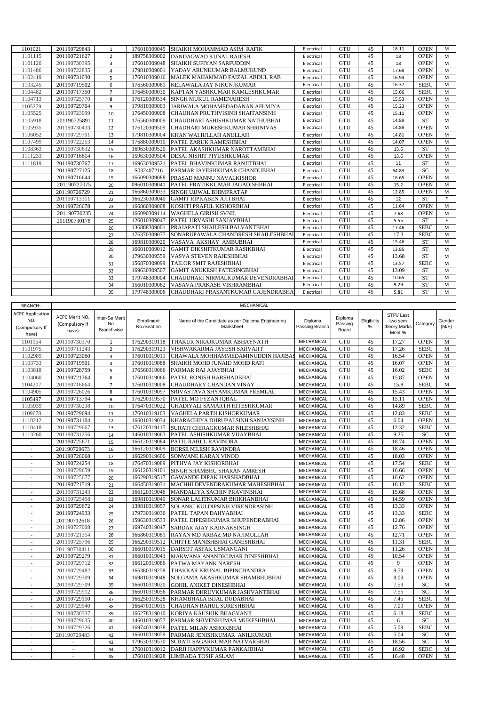| 1101021 | 201190729843 | $\mathbf{1}$   | 176010309045 | SHAIKH MOHAMMAD ASIM RAFIK          | Electrical | <b>GTU</b> | 45 | 18.11 | <b>OPEN</b> | M  |
|---------|--------------|----------------|--------------|-------------------------------------|------------|------------|----|-------|-------------|----|
| 1101115 | 201190721627 | $\overline{2}$ | 189758309002 | DANDAGWAD KUNAL RAJESH              | Electrical | <b>GTU</b> | 45 | 18    | <b>OPEN</b> | M  |
| 1101120 | 201190730395 | 3              | 176010309048 | SHAIKH SUFIYAN SARFUDDIN            | Electrical | GTU        | 45 | 18    | <b>OPEN</b> | M  |
| 1101486 | 201190722835 | 4              | 179810309001 | YADAV ARUNKUMAR BALMUKUND           | Electrical | <b>GTU</b> | 45 | 17.68 | <b>OPEN</b> | M  |
| 1102419 | 201190731030 | 5              | 176010309016 | MALEK MAHAMMAD FAIZAL ABDUL RAB     | Electrical | <b>GTU</b> | 45 | 16.94 | <b>OPEN</b> | M  |
| 1103245 | 201190719502 | 6              | 176560309061 | KELAWALA JAY NIKUNJKUMAR            | Electrical | GTU        | 45 | 16.37 | <b>SEBC</b> | M  |
| 1104482 | 201190717350 | $\overline{7}$ | 176450309030 | KAPTAN YASHKUMAR KAMLESHKUMAR       | Electrical | <b>GTU</b> | 45 | 15.66 | <b>SEBC</b> | M  |
| 1104713 | 201190725770 | 8              | 176120309534 | <b>SINGH MUKUL RAMENARESH</b>       | Electrical | <b>GTU</b> | 45 | 15.53 | <b>OPEN</b> | м  |
| 1105279 | 201190729704 | 9              | 179810309003 | JARIWALA MOHAMEDADANAN AFLMIYA      | Electrical | <b>GTU</b> | 45 | 15.23 | <b>OPEN</b> | M  |
| 1105525 | 201190723099 | 10             | 176450309008 | CHAUHAN PRUTHVISINH SHAITANSINH     | Electrical | GTU        | 45 | 15.11 | <b>OPEN</b> | M  |
| 1105918 | 201190725891 | 11             | 176560309009 | CHAUDHARI ASHISHKUMAR NATHUBHAI     | Electrical | <b>GTU</b> | 45 | 14.89 | <b>ST</b>   | M  |
| 1105935 | 201190730433 | 12             | 176120309509 | CHADHARI MUKESHKUMAR SHRINIVAS      | Electrical | GTU        | 45 | 14.89 | <b>OPEN</b> | M  |
| 1106052 | 201190729701 | 13             | 179810309004 | KHAN WALIULLAH ANULLAH              | Electrical | <b>GTU</b> | 45 | 14.81 | <b>OPEN</b> | M  |
| 1107499 | 201190722253 | 14             | 176880309010 | PATEL ZARUK RAMESHBHAI              | Electrical | <b>GTU</b> | 45 | 14.07 | <b>OPEN</b> | M  |
| 1108363 | 201190730632 | 15             | 169630309520 | PATEL AKASHKUMAR NAROTTAMBHAI       | Electrical | GTU        | 45 | 13.6  | <b>ST</b>   | M  |
| 1111233 | 201190716614 | 16             | 159630309504 | DESAI NISHIT PIYUSHKUMAR            | Electrical | <b>GTU</b> | 45 | 13.6  | <b>OPEN</b> | M  |
| 1111819 | 201190730767 | 17             | 169630309521 | PATEL BHAVINKUMAR RANJITBHAI        | Electrical | <b>GTU</b> | 45 | 11    | <b>ST</b>   | M  |
|         | 201190727125 | 18             | S032407216   | PARMAR JAYESHKUMAR CHANDUBHAI       | Electrical | <b>GTU</b> | 45 | 64.83 | <b>SC</b>   | M  |
|         | 201190716644 | 19             | 166090309088 | PRASAD MANNU NAVALKISHOR            | Electrical | GTU        | 45 | 16.65 | <b>OPEN</b> | M  |
|         | 201190727075 | 20             | 096010309041 | PATEL PRATIKKUMAR JAGADISHBHAI      | Electrical | <b>GTU</b> | 45 | 15.2  | <b>OPEN</b> | M  |
|         | 201190726729 | 21             | 166860309033 | SINGH UJJWAL BHIMPRATAP             | Electrical | <b>GTU</b> | 45 | 12.85 | <b>OPEN</b> | M  |
|         | 201190713311 | 22             | 166230303040 | <b>GAMIT RIPKABEN AJITBHAI</b>      | Electrical | GTU        | 45 | 12    | <b>ST</b>   | F  |
|         | 201190726678 | 23             | 166860309008 | KOSHTI PRAFUL KISHORBHAI            | Electrical | <b>GTU</b> | 45 | 11.64 | <b>OPEN</b> | M  |
|         | 201190730235 | 24             | 166090309114 | <b>WAGHELA GIRISH SVNIL</b>         | Electrical | <b>GTU</b> | 45 | 7.68  | <b>OPEN</b> | M  |
|         | 201190730178 | 25             | 126010309047 | PATEL URVASHI SANJAYBHAI            | Electrical | GTU        | 45 | 5.55  | <b>ST</b>   | F. |
|         |              | 26             | 136888309001 | PRAJAPATI SHAILESH BALVANTBHAI      | Electrical | <b>GTU</b> | 45 | 17.46 | <b>SEBC</b> | M  |
|         |              | 27             | 176370309077 | SONARUPAWALA CHANDRESH SHAILESHBHAI | Electrical | <b>GTU</b> | 45 | 17.3  | <b>SEBC</b> | M  |
|         |              | 28             | 169810309020 | VASAVA AKSHAY AMBUBHAI              | Electrical | <b>GTU</b> | 45 | 15.46 | <b>ST</b>   | M  |
|         |              | 29             | 166010309012 | <b>GAMIT DIKSHITKUMAR RASIKBHAI</b> | Electrical | <b>GTU</b> | 45 | 13.85 | <b>ST</b>   | M  |
|         |              | 30             | 179630309559 | VASVA STEVEN RAJESHBHAI             | Electrical | <b>GTU</b> | 45 | 13.68 | <b>ST</b>   | M  |
|         |              | 31             | 156870309099 | <b>TAILOR SMIT RAJESHBHAI</b>       | Electrical | GTU        | 45 | 13.57 | <b>SEBC</b> | M  |
|         |              | 32             | 169630309507 | <b>GAMIT ANUKESH FATESINGBHAI</b>   | Electrical | <b>GTU</b> | 45 | 13.09 | <b>ST</b>   | M  |
|         |              | 33             | 179748309004 | CHAUDHARI NIRMALKUMAR DEVENDRABHAI  | Electrical | <b>GTU</b> | 45 | 10.65 | <b>ST</b>   | м  |
|         |              | 34             | 156010309062 | VASAVA PRAKASH VISHRAMBHAI          | Electrical | GTU        | 45 | 9.29  | ST          | M  |
|         |              | 35             | 179748309006 | CHAUDHARI PRASANTKUMAR GAJENDRABHA  | Electrical | <b>GTU</b> | 45 | 5.81  | <b>ST</b>   | M  |

| <b>BRANCH:-</b>                                           |                                                 |                                    |                           | MECHANICAL                                                    |                           |                             |                  |                                                 |             |                 |
|-----------------------------------------------------------|-------------------------------------------------|------------------------------------|---------------------------|---------------------------------------------------------------|---------------------------|-----------------------------|------------------|-------------------------------------------------|-------------|-----------------|
| <b>ACPC Application</b><br>NO.<br>(Compulsory If<br>have) | <b>ACPC Merit NO</b><br>(Compulsory If<br>have) | Inter-Se Merit<br>No<br>Branchwise | Enrollment<br>No./Seat no | Name of the Candidate as per Diploma Engineering<br>Marksheet | Diploma<br>Passing Branch | Diploma<br>Passing<br>Board | Eligibility<br>% | STPI/Last<br>two sem<br>theory Marks<br>Merit % | Category    | Gender<br>(M/F) |
| 1101954                                                   | 201190730370                                    | 1                                  | 176290319118              | THAKUR NIRAJKUMAR ABHAYNATH                                   | MECHANICAL                | GTU                         | 45               | 17.27                                           | <b>OPEN</b> | M               |
| 1101975                                                   | 201190711243                                    | $\overline{2}$                     | 176290319123              | VISHWAKARMA JAYESH SARVAJIT                                   | MECHANICAL                | GTU                         | 45               | 17.26                                           | <b>SEBC</b> | M               |
| 1102989                                                   | 201190723060                                    | $\overline{3}$                     | 176010319011              | CHAWALA MOHHAMMEDAMINUDDIN HAJIBAS                            | MECHANICAL                | GTU                         | 45               | 16.54                                           | <b>OPEN</b> | $\mathbf M$     |
| 1103733                                                   | 201190719501                                    | $\overline{4}$                     | 176010319088              | SHAIKH MOHD JUNAID MOHD RAFI                                  | MECHANICAL                | GTU                         | 45               | 16.07                                           | <b>OPEN</b> | M               |
| 1103818                                                   | 201190728759                                    | 5                                  | 176560319066              | PARMAR RAJ AJAYBHAI                                           | MECHANICAL                | GTU                         | 45               | 16.02                                           | <b>SEBC</b> | M               |
| 1104060                                                   | 201190721364                                    | 6                                  | 176010319066              | PATEL RONISH HARSHADBHAI                                      | MECHANICAL                | GTU                         | 45               | 15.87                                           | <b>OPEN</b> | M               |
| 1104207                                                   | 201190716664                                    | $\overline{7}$                     | 176010319008              | CHAUDHARY CHANDAN VINAY                                       | MECHANICAL                | GTU                         | 45               | 15.8                                            | <b>SEBC</b> | M               |
| 1104905                                                   | 201190726026                                    | 8                                  | 176010319097              | SRIVASTAVA SHYAMKUMAR PREMLAL                                 | MECHANICAL                | GTU                         | 45               | 15.43                                           | <b>OPEN</b> | M               |
| 1105497                                                   | 201190713794                                    | 9                                  | 176290319570              | PATEL MO FYZAN IOBAL                                          | MECHANICAL                | GTU                         | 45               | 15.11                                           | <b>OPEN</b> | M               |
| 1105939                                                   | 201190730238                                    | 10                                 | 176470319022              | GHADIYALI SAMARTH HITESHKUMAR                                 | MECHANICAL                | GTU                         | 45               | 14.89                                           | <b>SEBC</b> | M               |
| 1109678                                                   | 201190729694                                    | 11                                 | 176010319103              | VAGHELA PARTH KISHORKUMAR                                     | MECHANICAL                | GTU                         | 45               | 12.83                                           | <b>SEBC</b> | M               |
| 1110212                                                   | 201190731104                                    | 12                                 | 166010319034              | KHARACHIYA DHRUPALSINH SANJAYSINH                             | MECHANICAL                | GTU                         | 45               | 6.04                                            | <b>OPEN</b> | M               |
| 1110418                                                   | 201190729667                                    | 13                                 | 176120319115              | SURATI CHIRAGKUMAR NILESHBHAI                                 | MECHANICAL                | GTU                         | 45               | 12.32                                           | <b>SEBC</b> | M               |
| 1113260                                                   | 201190731256                                    | 14                                 | 146010319063              | PATEL ASHISHKUMAR VIJAYBHAI                                   | MECHANICAL                | GTU                         | 45               | 9.25                                            | SC          | $\mathbf M$     |
| $\sim$                                                    | 201190725671                                    | 15                                 | 166120319084              | PATIL RAHUL RAVINDRA                                          | MECHANICAL                | GTU                         | 45               | 18.74                                           | <b>OPEN</b> | $\mathbf M$     |
| ٠                                                         | 201190729673                                    | 16                                 | 166120319009              | <b>BORSE NILESH RAVINDRA</b>                                  | MECHANICAL                | GTU                         | 45               | 18.46                                           | <b>OPEN</b> | M               |
| $\sim$                                                    | 201190726068                                    | 17                                 | 166290319606              | SONWANE KARAN VINOD                                           | MECHANICAL                | GTU                         | 45               | 18.03                                           | <b>OPEN</b> | M               |
|                                                           | 201190724254                                    | 18                                 | 176470319089              | PITHVA JAY KISHORBHAI                                         | MECHANICAL                | GTU                         | 45               | 17.54                                           | <b>SEBC</b> | M               |
| $\sim$                                                    | 201190729659                                    | 19                                 | 166120319101              | SINGH SHAMBHU SHARAN AMRESH                                   | MECHANICAL                | GTU                         | 45               | 16.66                                           | <b>OPEN</b> | M               |
|                                                           | 201190725677                                    | 20                                 | 166290319517              | <b>GAWANDE DIPAK HARSHADBHAI</b>                              | MECHANICAL                | GTU                         | 45               | 16.62                                           | <b>OPEN</b> | M               |
|                                                           | 201190721519                                    | 21                                 | 166450319031              | MACHHI DEVENDRAKUMAR MAHESHBHAI                               | MECHANICAL                | GTU                         | 45               | 16.12                                           | <b>SEBC</b> | M               |
|                                                           | 201190731243                                    | 22                                 | 166120319046              | MANDALIYA SACHIN PRAVINBHAI                                   | MECHANICAL                | GTU                         | 45               | 15.68                                           | <b>OPEN</b> | M               |
|                                                           | 201190725458                                    | 23                                 | 169810319049              | SONAR LALITKUMAR BHIKHANBHAI                                  | MECHANICAL                | GTU                         | 45               | 14.59                                           | <b>OPEN</b> | M               |
|                                                           | 201190729672                                    | 24                                 | 139810319057              | SOLANKI KULDIPSINH VIRENDRASINH                               | MECHANICAL                | GTU                         | 45               | 13.33                                           | <b>OPEN</b> | M               |
|                                                           | 201190724933                                    | 25                                 | 179730319036              | PATEL TAPAN DAHYABHAI                                         | MECHANICAL                | GTU                         | 45               | 13.33                                           | <b>SEBC</b> | $\mathbf M$     |
|                                                           | 201190712618                                    | 26                                 | 159630319533              | PATEL DIPESHKUMAR BHUPENDRABHAI                               | MECHANICAL                | GTU                         | 45               | 12.86                                           | <b>OPEN</b> | M               |
| ÷,                                                        | 201190727008                                    | 27                                 | 169740319047              | SARDAR AJAY KARNAKSINGH                                       | MECHANICAL                | GTU                         | 45               | 12.76                                           | <b>OPEN</b> | M               |
|                                                           | 201190721314                                    | 28                                 | 166860319081              | RAYAN MD ARBAZ MD NAJIMULLAH                                  | MECHANICAL                | GTU                         | 45               | 12.71                                           | <b>OPEN</b> | M               |
| ÷                                                         | 201190725796                                    | 29                                 | 166290319512              | CHITTE MANISHBHAI GANESHBHAI                                  | MECHANICAL                | GTU                         | 45               | 11.31                                           | <b>SEBC</b> | M               |
| ÷                                                         | 201190730411                                    | 30                                 | 166010319015              | DARSOT ASFAK USMANGANI                                        | MECHANICAL                | GTU                         | 45               | 11.26                                           | <b>OPEN</b> | M               |
| ٠                                                         | 201190729279                                    | 31                                 | 166010319043              | MAKWANA ANANDKUMAR DINESHBHAI                                 | MECHANICAL                | GTU                         | 45               | 10.54                                           | <b>OPEN</b> | M               |
| ÷.                                                        | 201190729712                                    | 32                                 | 166120319086              | PATWA MAYANK NARESH                                           | MECHANICAL                | GTU                         | 45               | 9                                               | <b>OPEN</b> | M               |
| ÷                                                         | 201190729482                                    | 33                                 | 166380319258              | THAKKAR KRUNAL BIPINCHANDRA                                   | MECHANICAL                | GTU                         | 45               | 8.59                                            | <b>OPEN</b> | M               |
| ÷                                                         | 201190729309                                    | 34                                 | 169810319048              | SOLGAMA AKASHKUMAR SHAMBHUBHAI                                | MECHANICAL                | GTU                         | 45               | 8.09                                            | <b>OPEN</b> | M               |
| ×,                                                        | 201190729709                                    | 35                                 | 166010319020              | <b>GOHIL ANIKET DINESHBHAI</b>                                | MECHANICAL                | GTU                         | 45               | 7.59                                            | SC          | M               |
| ×.                                                        | 201190729912                                    | 36                                 | 166010319056              | PARMAR DHRUVKUMAR JASHVANTBHAI                                | MECHANICAL                | GTU                         | 45               | 7.55                                            | SC          | M               |
| ٠                                                         | 201190729110                                    | 37                                 | 166250319528              | KHAMBHALA BIJAL DUDABHAI                                      | MECHANICAL                | GTU                         | 45               | 7.45                                            | <b>SEBC</b> | M               |
| ×                                                         | 201190729540                                    | 38                                 | 166470319015              | <b>CHAUHAN RAHUL SURESHBHAI</b>                               | MECHANICAL                | <b>GTU</b>                  | 45               | 7.09                                            | <b>OPEN</b> | M               |
| ÷                                                         | 201190730337                                    | 39                                 | 166278319010              | KORIYA KAUSHIK BHAGVANJI                                      | MECHANICAL                | GTU                         | 45               | 6.18                                            | <b>SEBC</b> | M               |
| ×.                                                        | 201190729635                                    | 40                                 | 146010319057              | PARMAR SHIVENKUMAR MUKESHBHAI                                 | MECHANICAL                | GTU                         | 45               | 6                                               | <b>SC</b>   | M               |
| ٠                                                         | 201190729326                                    | 41                                 | 169740319038              | PATEL MILAN ASHOKBHAI                                         | MECHANICAL                | GTU                         | 45               | 5.09                                            | <b>SEBC</b> | M               |
| $\sim$                                                    | 201190729483                                    | 42                                 | 166010319059              | PARMAR JENISHKUMAR ANILKUMAR                                  | MECHANICAL                | GTU                         | 45               | 5.04                                            | <b>SC</b>   | M               |
| $\sim$                                                    |                                                 | 43                                 | 179630319530              | SURATI SAGARKUMAR NATVARBHAI                                  | MECHANICAL                | GTU                         | 45               | 18.56                                           | SC          | M               |
| ×                                                         | $\sim$                                          | 44                                 | 176010319012              | DARJI HAPPYKUMAR PANKAJBHAI                                   | MECHANICAL                | GTU                         | 45               | 16.92                                           | <b>SEBC</b> | M               |
|                                                           | ×.                                              | 45                                 |                           | 176010319028 LIMBADA TOSIF ASLAM                              | MECHANICAL                | GTU                         | 45               | 16.48                                           | <b>OPEN</b> | M               |